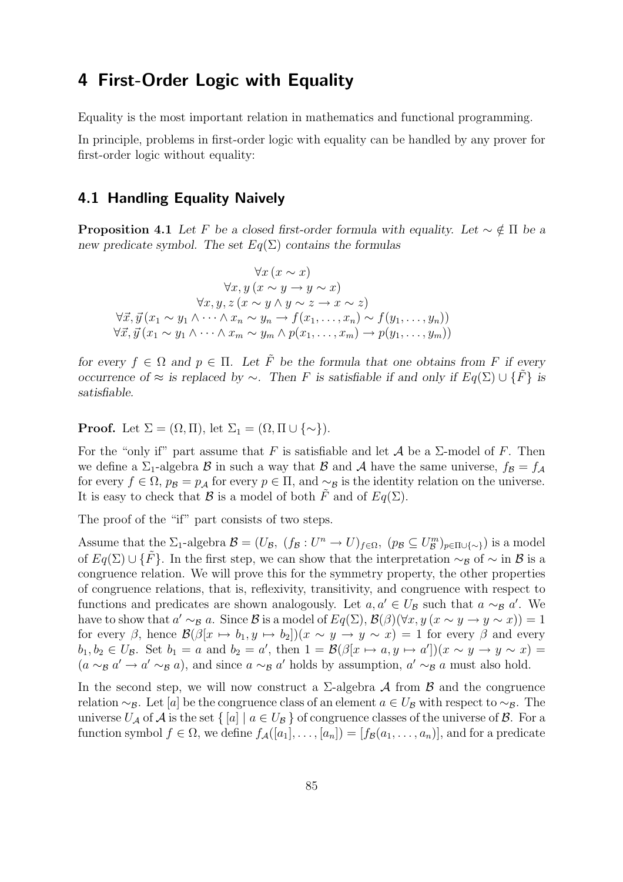# 4 First-Order Logic with Equality

Equality is the most important relation in mathematics and functional programming.

In principle, problems in first-order logic with equality can be handled by any prover for first-order logic without equality:

## 4.1 Handling Equality Naively

**Proposition 4.1** *Let* F *be a closed first-order formula with equality. Let*  $\sim \notin \Pi$  *be a new predicate symbol. The set* Eq(Σ) *contains the formulas*

 $\forall x (x \sim x)$  $\forall x, y \ (x \sim y \rightarrow y \sim x)$  $\forall x, y, z \, (x \sim y \land y \sim z \rightarrow x \sim z)$  $\forall \vec{x}, \vec{y} \left(x_1 \sim y_1 \wedge \cdots \wedge x_n \sim y_n \rightarrow f(x_1, \ldots, x_n) \sim f(y_1, \ldots, y_n)\right)$  $\forall \vec{x}, \vec{y} \left( x_1 \sim y_1 \wedge \cdots \wedge x_m \sim y_m \wedge p(x_1, \ldots, x_m) \rightarrow p(y_1, \ldots, y_m) \right)$ 

*for every*  $f \in \Omega$  *and*  $p \in \Pi$ *. Let*  $\tilde{F}$  *be the formula that one obtains from* F *if every occurrence of* ≈ *is replaced by* ∼*. Then* F *is satisfiable if and only if*  $Eq(\Sigma) \cup \{F\}$  *is satisfiable.*

**Proof.** Let  $\Sigma = (\Omega, \Pi)$ , let  $\Sigma_1 = (\Omega, \Pi \cup \{\sim\})$ .

For the "only if" part assume that F is satisfiable and let A be a  $\Sigma$ -model of F. Then we define a  $\Sigma_1$ -algebra  $\beta$  in such a way that  $\beta$  and  $\lambda$  have the same universe,  $f_{\beta} = f_{\lambda}$ for every  $f \in \Omega$ ,  $p_{\mathcal{B}} = p_{\mathcal{A}}$  for every  $p \in \Pi$ , and  $\sim_{\mathcal{B}}$  is the identity relation on the universe. It is easy to check that B is a model of both  $\tilde{F}$  and of  $Eq(\Sigma)$ .

The proof of the "if" part consists of two steps.

Assume that the  $\Sigma_1$ -algebra  $\mathcal{B} = (U_{\mathcal{B}}, (f_{\mathcal{B}} : U^n \to U)_{f \in \Omega}, (p_{\mathcal{B}} \subseteq U_{\mathcal{B}}^m)_{p \in \Pi \cup \{\sim\}})$  is a model of  $Eq(\Sigma) \cup {\{\tilde{F}\}\}\)$ . In the first step, we can show that the interpretation  $\sim_B 0$  of  $\sim$  in B is a congruence relation. We will prove this for the symmetry property, the other properties of congruence relations, that is, reflexivity, transitivity, and congruence with respect to functions and predicates are shown analogously. Let  $a, a' \in U_B$  such that  $a \sim_B a'$ . We have to show that  $a' \sim_B a$ . Since  $\mathcal B$  is a model of  $Eq(\Sigma)$ ,  $\mathcal B(\beta)(\forall x, y \ (x \sim y \to y \sim x)) = 1$ for every  $\beta$ , hence  $\mathcal{B}(\beta[x \mapsto b_1, y \mapsto b_2])(x \sim y \to y \sim x) = 1$  for every  $\beta$  and every  $b_1, b_2 \in U_{\mathcal{B}}$ . Set  $b_1 = a$  and  $b_2 = a'$ , then  $1 = \mathcal{B}(\beta[x \mapsto a, y \mapsto a'])(x \sim y \to y \sim x) =$  $(a \sim_{\mathcal{B}} a' \rightarrow a' \sim_{\mathcal{B}} a)$ , and since  $a \sim_{\mathcal{B}} a'$  holds by assumption,  $a' \sim_{\mathcal{B}} a$  must also hold.

In the second step, we will now construct a  $\Sigma$ -algebra  $\mathcal A$  from  $\mathcal B$  and the congruence relation  $\sim_B$ . Let [a] be the congruence class of an element  $a \in U_B$  with respect to  $\sim_B$ . The universe  $U_A$  of  $A$  is the set  $\{ [a] \mid a \in U_B \}$  of congruence classes of the universe of  $B$ . For a function symbol  $f \in \Omega$ , we define  $f_{\mathcal{A}}([a_1], \ldots, [a_n]) = [f_{\mathcal{B}}(a_1, \ldots, a_n)],$  and for a predicate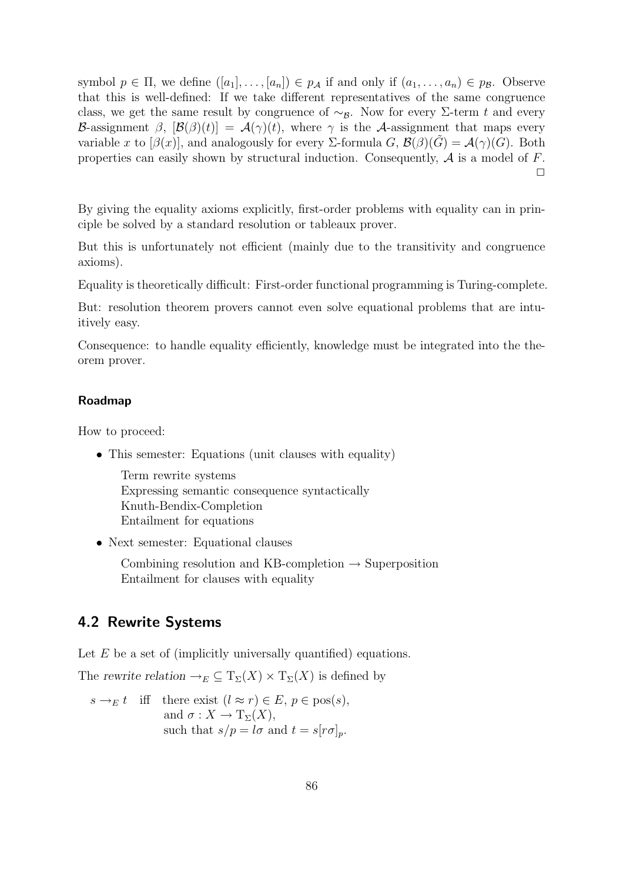symbol  $p \in \Pi$ , we define  $([a_1], \ldots, [a_n]) \in p_{\mathcal{A}}$  if and only if  $(a_1, \ldots, a_n) \in p_{\mathcal{B}}$ . Observe that this is well-defined: If we take different representatives of the same congruence class, we get the same result by congruence of  $\sim_B$ . Now for every Σ-term t and every B-assignment  $\beta$ ,  $[\mathcal{B}(\beta)(t)] = \mathcal{A}(\gamma)(t)$ , where  $\gamma$  is the A-assignment that maps every variable x to  $[\beta(x)]$ , and analogously for every Σ-formula G,  $\mathcal{B}(\beta)(G) = \mathcal{A}(\gamma)(G)$ . Both properties can easily shown by structural induction. Consequently,  $A$  is a model of  $F$ .  $\Box$ 

By giving the equality axioms explicitly, first-order problems with equality can in principle be solved by a standard resolution or tableaux prover.

But this is unfortunately not efficient (mainly due to the transitivity and congruence axioms).

Equality is theoretically difficult: First-order functional programming is Turing-complete.

But: resolution theorem provers cannot even solve equational problems that are intuitively easy.

Consequence: to handle equality efficiently, knowledge must be integrated into the theorem prover.

#### Roadmap

How to proceed:

• This semester: Equations (unit clauses with equality)

Term rewrite systems Expressing semantic consequence syntactically Knuth-Bendix-Completion Entailment for equations

• Next semester: Equational clauses

Combining resolution and KB-completion  $\rightarrow$  Superposition Entailment for clauses with equality

## 4.2 Rewrite Systems

Let  $E$  be a set of (implicitly universally quantified) equations.

The *rewrite relation*  $\rightarrow_E \subseteq T_{\Sigma}(X) \times T_{\Sigma}(X)$  is defined by

$$
s \to_{E} t \quad \text{iff} \quad \text{there exist } (l \approx r) \in E, \ p \in \text{pos}(s),
$$
  
and  $\sigma : X \to \text{T}_{\Sigma}(X),$   
such that  $s/p = l\sigma$  and  $t = s[r\sigma]_p$ .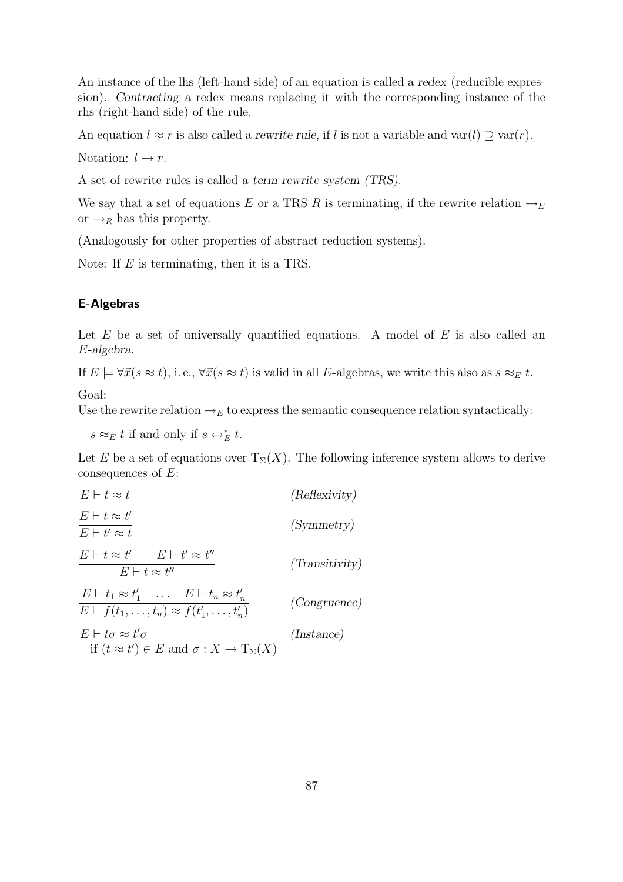An instance of the lhs (left-hand side) of an equation is called a *redex* (reducible expression). *Contracting* a redex means replacing it with the corresponding instance of the rhs (right-hand side) of the rule.

An equation  $l \approx r$  is also called a *rewrite rule*, if l is not a variable and var $(l) \supseteq \text{var}(r)$ .

Notation:  $l \rightarrow r$ .

A set of rewrite rules is called a *term rewrite system (TRS).*

We say that a set of equations E or a TRS R is terminating, if the rewrite relation  $\rightarrow_E$ or  $\rightarrow_R$  has this property.

(Analogously for other properties of abstract reduction systems).

Note: If E is terminating, then it is a TRS.

### E-Algebras

Let  $E$  be a set of universally quantified equations. A model of  $E$  is also called an E*-algebra.*

If  $E \models \forall \vec{x} (s \approx t)$ , i. e.,  $\forall \vec{x} (s \approx t)$  is valid in all E-algebras, we write this also as  $s \approx_E t$ .

Goal:

Use the rewrite relation  $\rightarrow_E$  to express the semantic consequence relation syntactically:

 $s \approx_E t$  if and only if  $s \leftrightarrow_E^* t$ .

Let E be a set of equations over  $T_{\Sigma}(X)$ . The following inference system allows to derive consequences of E:

$$
E \vdash t \approx t \qquad \qquad \text{(Reflexivity)}
$$
\n
$$
E \vdash t \approx t' \qquad \qquad \text{(Symmetry)}
$$
\n
$$
E \vdash t \approx t' \qquad E \vdash t' \approx t'' \qquad \qquad \text{(Transitivity)}
$$
\n
$$
E \vdash t \approx t'' \qquad \qquad \text{(Transitivity)}
$$
\n
$$
E \vdash t_1 \approx t'_1 \qquad \qquad E \vdash t_n \approx t'_n \qquad \qquad \text{(Congruence)}
$$
\n
$$
E \vdash t \sigma \approx t' \sigma \qquad \qquad \text{(Instance)}
$$
\n
$$
E \vdash t \sigma \approx t' \sigma \qquad \qquad \text{(Instance)}
$$
\n
$$
\text{if } (t \approx t') \in E \text{ and } \sigma : X \to T_{\Sigma}(X) \qquad \qquad \text{(Instance)}
$$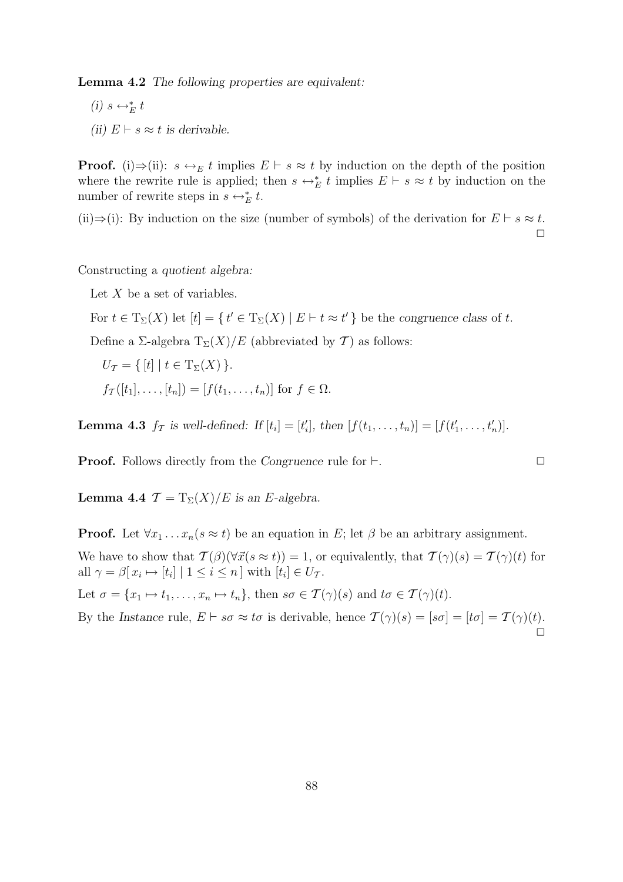Lemma 4.2 *The following properties are equivalent:*

- $(i)$  s ↔<sup>\*</sup><sub>E</sub> t
- *(ii)*  $E$  ⊢  $s ≈ t$  *is derivable.*

**Proof.** (i)⇒(ii):  $s \leftrightarrow_E t$  implies  $E \vdash s \approx t$  by induction on the depth of the position where the rewrite rule is applied; then  $s \leftrightarrow_{E}^{*} t$  implies  $E \vdash s \approx t$  by induction on the number of rewrite steps in  $s \leftrightarrow_E^* t$ .

(ii)⇒(i): By induction on the size (number of symbols) of the derivation for  $E \vdash s \approx t$ .  $\Box$ 

Constructing a *quotient algebra:*

Let  $X$  be a set of variables.

For  $t \in T_{\Sigma}(X)$  let  $[t] = \{ t' \in T_{\Sigma}(X) \mid E \vdash t \approx t' \}$  be the *congruence class* of t.

Define a Σ-algebra  $T_{\Sigma}(X)/E$  (abbreviated by T) as follows:

$$
U_{\mathcal{T}} = \{ [t] \mid t \in \mathrm{T}_{\Sigma}(X) \}.
$$
  

$$
f_{\mathcal{T}}([t_1], \dots, [t_n]) = [f(t_1, \dots, t_n)] \text{ for } f \in \Omega.
$$

**Lemma 4.3**  $f_{\mathcal{T}}$  is well-defined: If  $[t_i] = [t'_i]$ , then  $[f(t_1, ..., t_n)] = [f(t'_1, ..., t'_n)]$ .

Proof. Follows directly from the *Congruence* rule for ⊢. 
□

**Lemma 4.4**  $\mathcal{T} = T_{\Sigma}(X)/E$  is an E-algebra.

**Proof.** Let  $\forall x_1 \dots x_n (s \approx t)$  be an equation in E; let  $\beta$  be an arbitrary assignment. We have to show that  $\mathcal{T}(\beta)(\forall \vec{x}(s \approx t)) = 1$ , or equivalently, that  $\mathcal{T}(\gamma)(s) = \mathcal{T}(\gamma)(t)$  for all  $\gamma = \beta[x_i \mapsto [t_i] \mid 1 \leq i \leq n]$  with  $[t_i] \in U_{\mathcal{T}}$ .

Let  $\sigma = \{x_1 \mapsto t_1, \ldots, x_n \mapsto t_n\}$ , then  $s\sigma \in \mathcal{T}(\gamma)(s)$  and  $t\sigma \in \mathcal{T}(\gamma)(t)$ .

By the *Instance* rule,  $E \vdash s\sigma \approx t\sigma$  is derivable, hence  $\mathcal{T}(\gamma)(s) = [s\sigma] = [t\sigma] = \mathcal{T}(\gamma)(t)$ .  $\stackrel{.}{\Box}$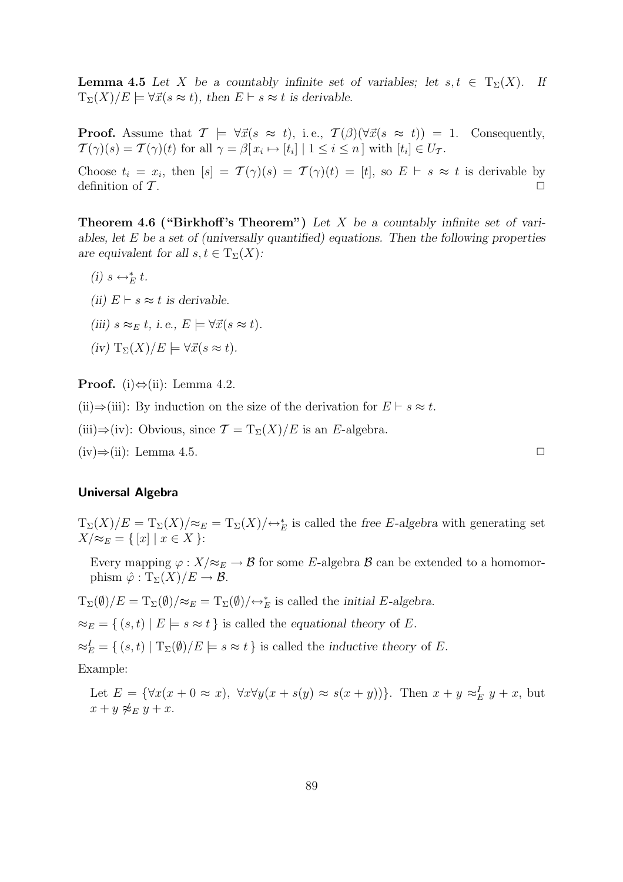**Lemma 4.5** Let X be a countably infinite set of variables; let  $s, t \in T_{\Sigma}(X)$ . If  $T_{\Sigma}(X)/E \models \forall \vec{x}(s \approx t)$ , then  $E \vdash s \approx t$  is derivable.

**Proof.** Assume that  $\mathcal{T} \models \forall \vec{x}(s \approx t)$ , i.e.,  $\mathcal{T}(\beta)(\forall \vec{x}(s \approx t)) = 1$ . Consequently,  $\mathcal{T}(\gamma)(s) = \mathcal{T}(\gamma)(t)$  for all  $\gamma = \beta[x_i \mapsto [t_i] \mid 1 \leq i \leq n]$  with  $[t_i] \in U_{\mathcal{T}}$ .

Choose  $t_i = x_i$ , then  $[s] = \mathcal{T}(\gamma)(s) = \mathcal{T}(\gamma)(t) = [t]$ , so  $E \vdash s \approx t$  is derivable by definition of  $\mathcal T$ .

**Theorem 4.6 ("Birkhoff's Theorem")** Let X be a countably infinite set of vari*ables, let* E *be a set of (universally quantified) equations. Then the following properties are equivalent for all*  $s, t \in T_{\Sigma}(X)$ *:* 

- $(i)$  s  $\leftrightarrow_E^* t$ .
- *(ii)*  $E$  ⊢  $s ≈ t$  *is derivable.*
- *(iii)*  $s \approx_E t$ , *i.e.*,  $E \models \forall \vec{x} (s \approx t)$ *.*
- $(iv)$   $T_{\Sigma}(X)/E \models \forall \vec{x}(s \approx t).$

**Proof.** (i) $\Leftrightarrow$ (ii): Lemma 4.2.

(ii)⇒(iii): By induction on the size of the derivation for  $E \vdash s \approx t$ .

(iii)⇒(iv): Obvious, since  $\mathcal{T} = T_{\Sigma}(X)/E$  is an E-algebra.

 $(iv) \Rightarrow (ii)$ : Lemma 4.5.

#### Universal Algebra

 $T_{\Sigma}(X)/E = T_{\Sigma}(X)/\approx_E T_{\Sigma}(X)/\leftrightarrow_E^*$  is called the *free* E-algebra with generating set  $X/\approx_E$  = {  $[x] | x \in X$  }:

Every mapping  $\varphi: X/\approx_E \to \mathcal{B}$  for some E-algebra  $\mathcal{B}$  can be extended to a homomorphism  $\hat{\varphi}: \mathrm{T}_{\Sigma}(X)/E \to \mathcal{B}.$ 

 $T_{\Sigma}(\emptyset)/E = T_{\Sigma}(\emptyset)/\approx_E T_{\Sigma}(\emptyset)/\leftrightarrow_E^*$  is called the *initial E-algebra.* 

 $\approx_E$  = {  $(s,t) | E \models s \approx t$  } is called the *equational theory* of E.

 $\approx_E^I = \{ (s, t) | \mathrm{T}_{\Sigma}(\emptyset) / E \models s \approx t \}$  is called the *inductive theory* of E.

Example:

Let  $E = \{ \forall x(x + 0 \approx x), \ \forall x \forall y(x + s(y) \approx s(x + y)) \}.$  Then  $x + y \approx_E^L y + x$ , but  $x + y \not\approx_E y + x.$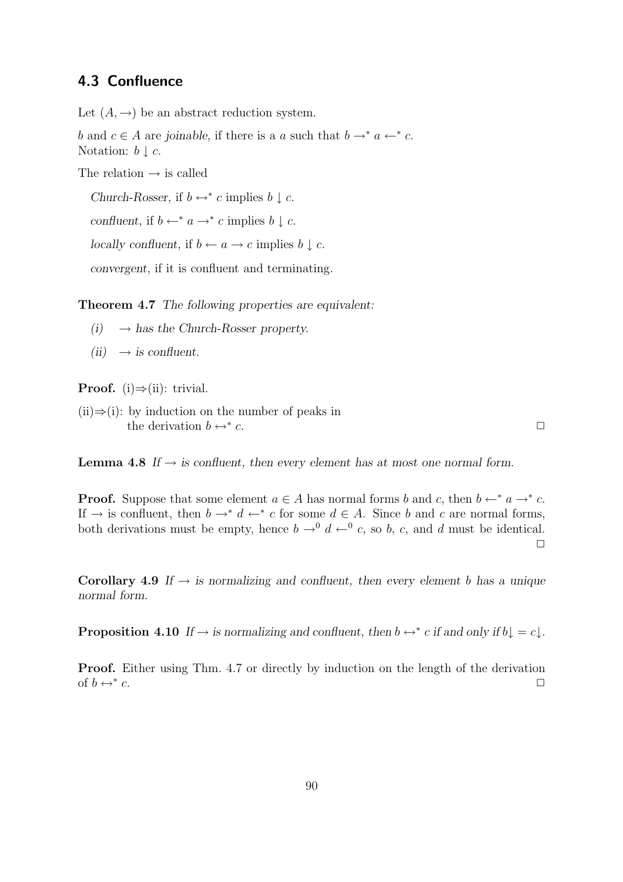# 4.3 Confluence

Let  $(A, \rightarrow)$  be an abstract reduction system.

b and  $c \in A$  are *joinable*, if there is a a such that  $b \rightarrow^* a \leftarrow^* c$ . Notation:  $b \downarrow c$ .

The relation  $\rightarrow$  is called

*Church-Rosser,* if  $b \leftrightarrow^* c$  implies  $b \downarrow c$ .

*confluent,* if  $b \leftarrow^* a \rightarrow^* c$  implies  $b \downarrow c$ .

*locally confluent,* if  $b \leftarrow a \rightarrow c$  implies  $b \downarrow c$ .

*convergent,* if it is confluent and terminating.

Theorem 4.7 *The following properties are equivalent:*

- $(i) \rightarrow$  *has the Church-Rosser property.*
- $(ii) \rightarrow is confluent.$

**Proof.** (i) $\Rightarrow$ (ii): trivial.

 $(ii) \Rightarrow (i):$  by induction on the number of peaks in the derivation  $b \leftrightarrow^* c$ .  $c.$ 

**Lemma 4.8** *If*  $\rightarrow$  *is confluent, then every element has at most one normal form.* 

**Proof.** Suppose that some element  $a \in A$  has normal forms b and c, then  $b \leftarrow^* a \rightarrow^* c$ . If  $\rightarrow$  is confluent, then  $b \rightarrow^* d \leftarrow^* c$  for some  $d \in A$ . Since b and c are normal forms, both derivations must be empty, hence  $b \to 0^0 d \leftarrow 0^0 c$ , so b, c, and d must be identical.  $\Box$ 

Corollary 4.9 If  $\rightarrow$  *is normalizing and confluent, then every element* b has a unique *normal form.*

**Proposition 4.10** If  $\rightarrow$  *is normalizing and confluent, then*  $b \leftrightarrow^* c$  *if and only if*  $b \downarrow = c \downarrow$ *.* 

Proof. Either using Thm. 4.7 or directly by induction on the length of the derivation of  $b \leftrightarrow^* c$ .  $c.$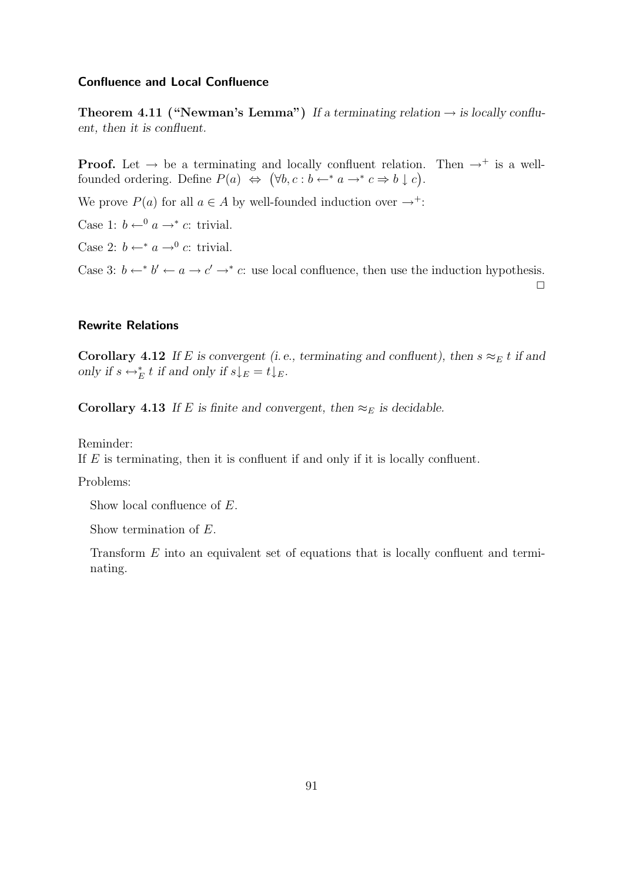### Confluence and Local Confluence

**Theorem 4.11 ("Newman's Lemma")** If a terminating relation  $\rightarrow$  is locally conflu*ent, then it is confluent.*

**Proof.** Let  $\rightarrow$  be a terminating and locally confluent relation. Then  $\rightarrow^+$  is a wellfounded ordering. Define  $P(a) \Leftrightarrow (\forall b, c : b \leftarrow^* a \rightarrow^* c \Rightarrow b \downarrow c).$ 

We prove  $P(a)$  for all  $a \in A$  by well-founded induction over  $\rightarrow^+$ :

Case 1:  $b \leftarrow^0 a \rightarrow^* c$ : trivial.

Case 2:  $b \leftarrow^* a \rightarrow^0 c$ : trivial.

Case 3:  $b \leftarrow^* b' \leftarrow a \rightarrow c' \rightarrow^* c$ : use local confluence, then use the induction hypothesis.  $\Box$ 

### Rewrite Relations

Corollary 4.12 *If* E is convergent (i.e., terminating and confluent), then  $s \approx_E t$  if and *only if*  $s \leftrightarrow_{E}^* t$  *if and only if*  $s \downarrow_{E} = t \downarrow_{E}$ *.* 

Corollary 4.13 *If* E is finite and convergent, then  $\approx_E$  is decidable.

Reminder:

If  $E$  is terminating, then it is confluent if and only if it is locally confluent.

Problems:

Show local confluence of E.

Show termination of E.

Transform E into an equivalent set of equations that is locally confluent and terminating.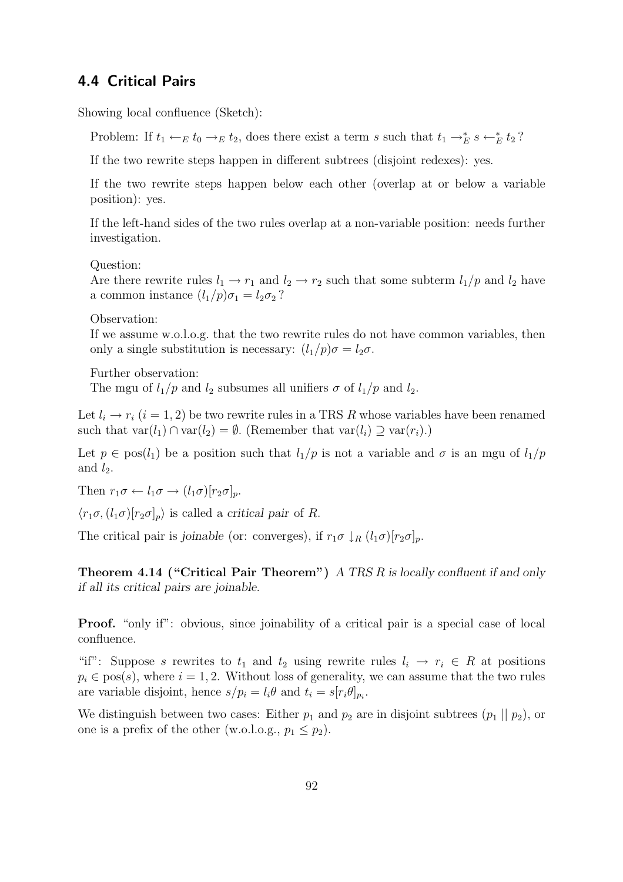# 4.4 Critical Pairs

Showing local confluence (Sketch):

Problem: If  $t_1 \leftarrow_E t_0 \rightarrow_E t_2$ , does there exist a term s such that  $t_1 \rightarrow_E^* s \leftarrow_E^* t_2$ ?

If the two rewrite steps happen in different subtrees (disjoint redexes): yes.

If the two rewrite steps happen below each other (overlap at or below a variable position): yes.

If the left-hand sides of the two rules overlap at a non-variable position: needs further investigation.

Question:

Are there rewrite rules  $l_1 \rightarrow r_1$  and  $l_2 \rightarrow r_2$  such that some subterm  $l_1/p$  and  $l_2$  have a common instance  $(l_1/p)\sigma_1 = l_2\sigma_2$ ?

Observation:

If we assume w.o.l.o.g. that the two rewrite rules do not have common variables, then only a single substitution is necessary:  $(l_1/p)\sigma = l_2\sigma$ .

Further observation:

The mgu of  $l_1/p$  and  $l_2$  subsumes all unifiers  $\sigma$  of  $l_1/p$  and  $l_2$ .

Let  $l_i \rightarrow r_i$   $(i = 1, 2)$  be two rewrite rules in a TRS R whose variables have been renamed such that  $var(l_1) \cap var(l_2) = \emptyset$ . (Remember that  $var(l_i) \supseteq var(r_i)$ .)

Let  $p \in \text{pos}(l_1)$  be a position such that  $l_1/p$  is not a variable and  $\sigma$  is an mgu of  $l_1/p$ and  $l_2$ .

Then  $r_1\sigma \leftarrow l_1\sigma \rightarrow (l_1\sigma)[r_2\sigma]_n$ .

 $\langle r_1\sigma,(l_1\sigma)[r_2\sigma]_p\rangle$  is called a *critical pair* of R.

The critical pair is *joinable* (or: converges), if  $r_1\sigma \downarrow_R (l_1\sigma)[r_2\sigma]_p$ .

Theorem 4.14 ("Critical Pair Theorem") *A TRS* R *is locally confluent if and only if all its critical pairs are joinable.*

Proof. "only if": obvious, since joinability of a critical pair is a special case of local confluence.

"if": Suppose s rewrites to  $t_1$  and  $t_2$  using rewrite rules  $l_i \rightarrow r_i \in R$  at positions  $p_i \in \text{pos}(s)$ , where  $i = 1, 2$ . Without loss of generality, we can assume that the two rules are variable disjoint, hence  $s/p_i = l_i \theta$  and  $t_i = s[r_i \theta]_{p_i}$ .

We distinguish between two cases: Either  $p_1$  and  $p_2$  are in disjoint subtrees  $(p_1 || p_2)$ , or one is a prefix of the other (w.o.l.o.g.,  $p_1 \leq p_2$ ).